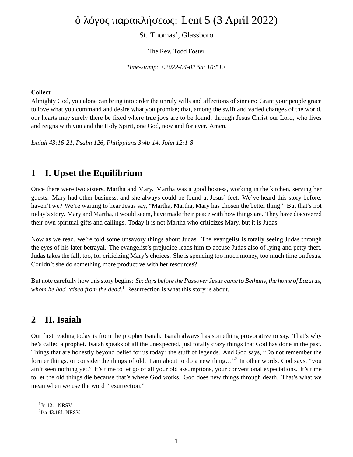# ὁ λόγος παρακλήσεως: Lent 5 (3 April 2022)

St. Thomas', Glassboro

The Rev. Todd Foster

*Time-stamp: <2022-04-02 Sat 10:51>*

#### **Collect**

Almighty God, you alone can bring into order the unruly wills and affections of sinners: Grant your people grace to love what you command and desire what you promise; that, among the swift and varied changes of the world, our hearts may surely there be fixed where true joys are to be found; through Jesus Christ our Lord, who lives and reigns with you and the Holy Spirit, one God, now and for ever. Amen.

*Isaiah 43:16-21, Psalm 126, Philippians 3:4b-14, John 12:1-8*

## **1 I. Upset the Equilibrium**

Once there were two sisters, Martha and Mary. Martha was a good hostess, working in the kitchen, serving her guests. Mary had other business, and she always could be found at Jesus' feet. We've heard this story before, haven't we? We're waiting to hear Jesus say, "Martha, Martha, Mary has chosen the better thing." But that's not today's story. Mary and Martha, it would seem, have made their peace with how things are. They have discovered their own spiritual gifts and callings. Today it is not Martha who criticizes Mary, but it is Judas.

Now as we read, we're told some unsavory things about Judas. The evangelist is totally seeing Judas through the eyes of his later betrayal. The evangelist's prejudice leads him to accuse Judas also of lying and petty theft. Judas takes the fall, too, for criticizing Mary's choices. She is spending too much money, too much time on Jesus. Couldn't she do something more productive with her resources?

But note carefully how this story begins: *Six days before the Passover Jesus came to Bethany, the home of Lazarus, whom he had raised from the dead.*<sup>1</sup> Resurrection is what this story is about.

#### **2 II. Isaiah**

Our first reading today is from the prophet Isaiah. Isaiah always has something provocative to say. That's why he's called a prophet. Isaiah speaks of all the unexpected, just totally crazy things that God has done in the past. Things that are honestly beyond belief for us today: the stuff of legends. And God says, "Do not remember the former things, or consider the things of old. I am about to do a new thing..."<sup>2</sup> In other words, God says, "you ain't seen nothing yet." It's time to let go of all your old assumptions, your conventional expectations. It's time to let the old things die because that's where God works. God does new things through death. That's what we mean when we use the word "resurrection."

 $1$ Jn 12.1 NRSV.

 $2$ Isa 43.18f. NRSV.